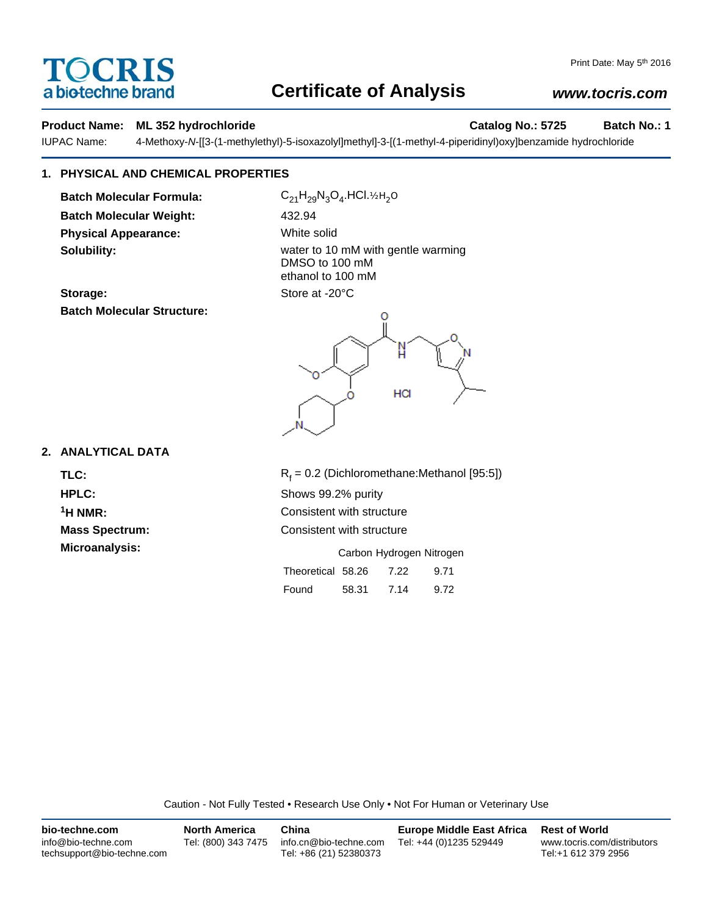# TOCRIS a biotechne brand

# **Certificate of Analysis**

## *www.tocris.com*

### **Product Name: ML 352 hydrochloride Catalog No.: 5725 Batch No.: 1**

IUPAC Name: 4-Methoxy-*N*-[[3-(1-methylethyl)-5-isoxazolyl]methyl]-3-[(1-methyl-4-piperidinyl)oxy]benzamide hydrochloride

## **1. PHYSICAL AND CHEMICAL PROPERTIES**

**Batch Molecular Formula:** C<sub>21</sub>H<sub>29</sub>N<sub>3</sub>O<sub>4</sub>.HCl.½H<sub>2</sub>O **Batch Molecular Weight:** 432.94 **Physical Appearance:** White solid

**Solubility:** Solubility: water to 10 mM with gentle warming DMSO to 100 mM ethanol to 100 mM Storage: Store at -20°C

**Batch Molecular Structure:**



### **2. ANALYTICAL DATA**

TLC: R<sub>f</sub>

 $R_f = 0.2$  (Dichloromethane:Methanol [95:5]) **HPLC:** Shows 99.2% purity **1H NMR:** Consistent with structure **Mass Spectrum:** Consistent with structure **Microanalysis:** Microanalysis: **Carbon Hydrogen Nitrogen** 

| Theoretical 58.26 |       | 7.22 | 9.71 |
|-------------------|-------|------|------|
| Found             | 58.31 | 7.14 | 9.72 |

Caution - Not Fully Tested • Research Use Only • Not For Human or Veterinary Use

| bio-techne.com                                    | <b>North America</b> | China                                            | <b>Europe Middle East Africa</b> | <b>Rest of World</b>                               |
|---------------------------------------------------|----------------------|--------------------------------------------------|----------------------------------|----------------------------------------------------|
| info@bio-techne.com<br>techsupport@bio-techne.com | Tel: (800) 343 7475  | info.cn@bio-techne.com<br>Tel: +86 (21) 52380373 | Tel: +44 (0)1235 529449          | www.tocris.com/distributors<br>Tel:+1 612 379 2956 |